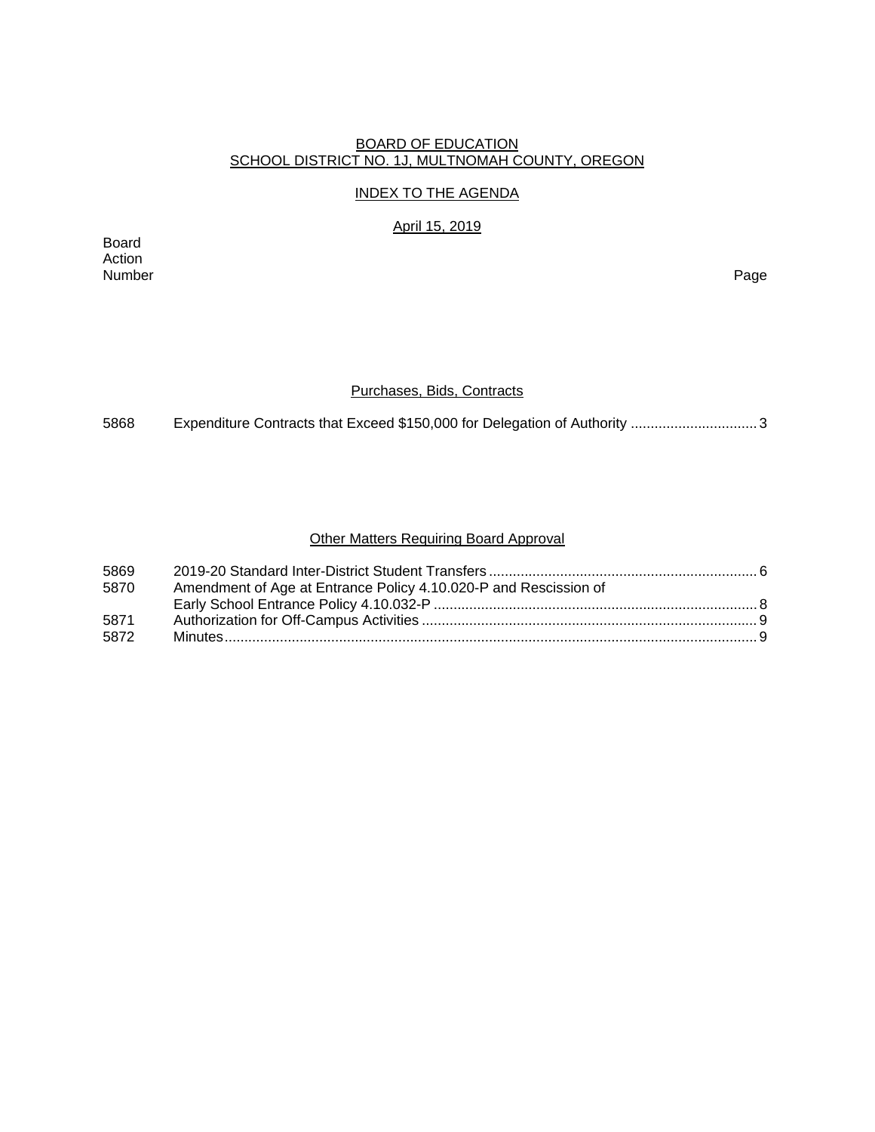### BOARD OF EDUCATION SCHOOL DISTRICT NO. 1J, MULTNOMAH COUNTY, OREGON

## INDEX TO THE AGENDA

April 15, 2019

Board Action Number Page

## Purchases, Bids, Contracts

5868 Expenditure Contracts that Exceed \$150,000 for Delegation of Authority ..................................

## Other Matters Requiring Board Approval

| 5869 |                                                                  |  |
|------|------------------------------------------------------------------|--|
| 5870 | Amendment of Age at Entrance Policy 4.10.020-P and Rescission of |  |
|      |                                                                  |  |
| 5871 |                                                                  |  |
| 5872 |                                                                  |  |
|      |                                                                  |  |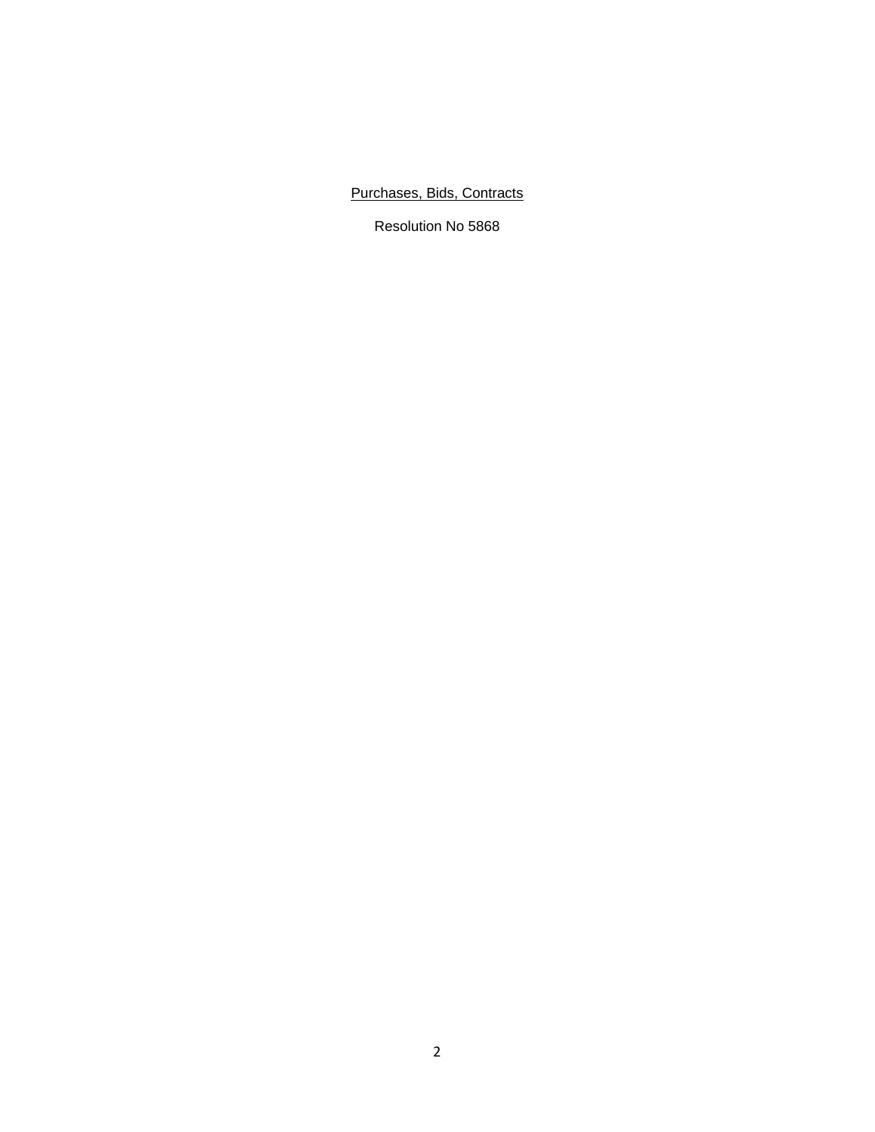Purchases, Bids, Contracts

Resolution No 5868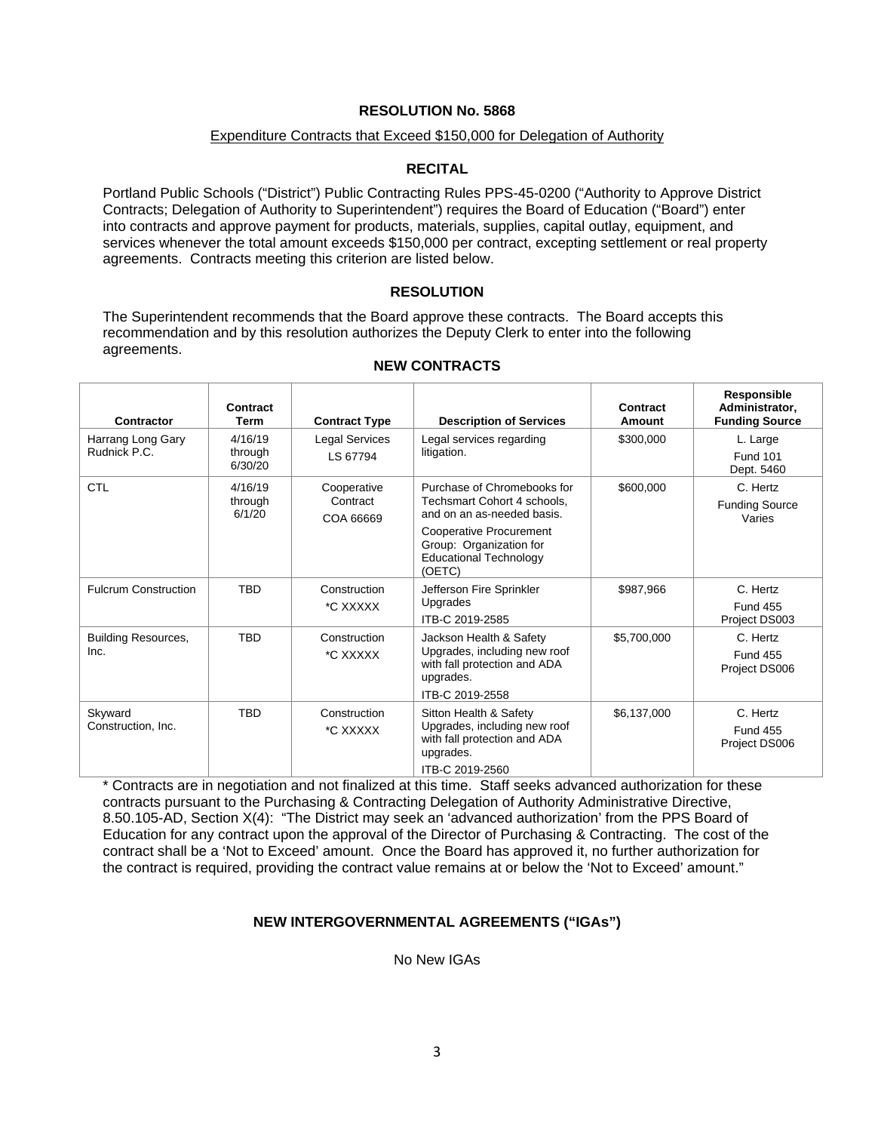### Expenditure Contracts that Exceed \$150,000 for Delegation of Authority

## **RECITAL**

Portland Public Schools ("District") Public Contracting Rules PPS-45-0200 ("Authority to Approve District Contracts; Delegation of Authority to Superintendent") requires the Board of Education ("Board") enter into contracts and approve payment for products, materials, supplies, capital outlay, equipment, and services whenever the total amount exceeds \$150,000 per contract, excepting settlement or real property agreements. Contracts meeting this criterion are listed below.

## **RESOLUTION**

The Superintendent recommends that the Board approve these contracts. The Board accepts this recommendation and by this resolution authorizes the Deputy Clerk to enter into the following agreements.

| Contractor                         | Contract<br>Term              | <b>Contract Type</b>                 | <b>Description of Services</b>                                                                                                                                                                   | Contract<br><b>Amount</b> | Responsible<br>Administrator,<br><b>Funding Source</b> |
|------------------------------------|-------------------------------|--------------------------------------|--------------------------------------------------------------------------------------------------------------------------------------------------------------------------------------------------|---------------------------|--------------------------------------------------------|
| Harrang Long Gary<br>Rudnick P.C.  | 4/16/19<br>through<br>6/30/20 | <b>Legal Services</b><br>LS 67794    | Legal services regarding<br>litigation.                                                                                                                                                          | \$300,000                 | L. Large<br><b>Fund 101</b><br>Dept. 5460              |
| <b>CTL</b>                         | 4/16/19<br>through<br>6/1/20  | Cooperative<br>Contract<br>COA 66669 | Purchase of Chromebooks for<br>Techsmart Cohort 4 schools,<br>and on an as-needed basis.<br><b>Cooperative Procurement</b><br>Group: Organization for<br><b>Educational Technology</b><br>(OETC) | \$600,000                 | C. Hertz<br><b>Funding Source</b><br>Varies            |
| <b>Fulcrum Construction</b>        | <b>TBD</b>                    | Construction<br>*C XXXXX             | Jefferson Fire Sprinkler<br>Upgrades<br>ITB-C 2019-2585                                                                                                                                          | \$987,966                 | C. Hertz<br><b>Fund 455</b><br>Project DS003           |
| <b>Building Resources,</b><br>Inc. | <b>TBD</b>                    | Construction<br>*C XXXXX             | Jackson Health & Safety<br>Upgrades, including new roof<br>with fall protection and ADA<br>upgrades.<br>ITB-C 2019-2558                                                                          | \$5,700,000               | C. Hertz<br><b>Fund 455</b><br>Project DS006           |
| Skyward<br>Construction, Inc.      | <b>TBD</b>                    | Construction<br>*C XXXXX             | Sitton Health & Safety<br>Upgrades, including new roof<br>with fall protection and ADA<br>upgrades.<br>ITB-C 2019-2560                                                                           | \$6,137,000               | C. Hertz<br><b>Fund 455</b><br>Project DS006           |

**NEW CONTRACTS** 

\* Contracts are in negotiation and not finalized at this time. Staff seeks advanced authorization for these contracts pursuant to the Purchasing & Contracting Delegation of Authority Administrative Directive, 8.50.105-AD, Section X(4): "The District may seek an 'advanced authorization' from the PPS Board of Education for any contract upon the approval of the Director of Purchasing & Contracting. The cost of the contract shall be a 'Not to Exceed' amount. Once the Board has approved it, no further authorization for the contract is required, providing the contract value remains at or below the 'Not to Exceed' amount."

### **NEW INTERGOVERNMENTAL AGREEMENTS ("IGAs")**

No New IGAs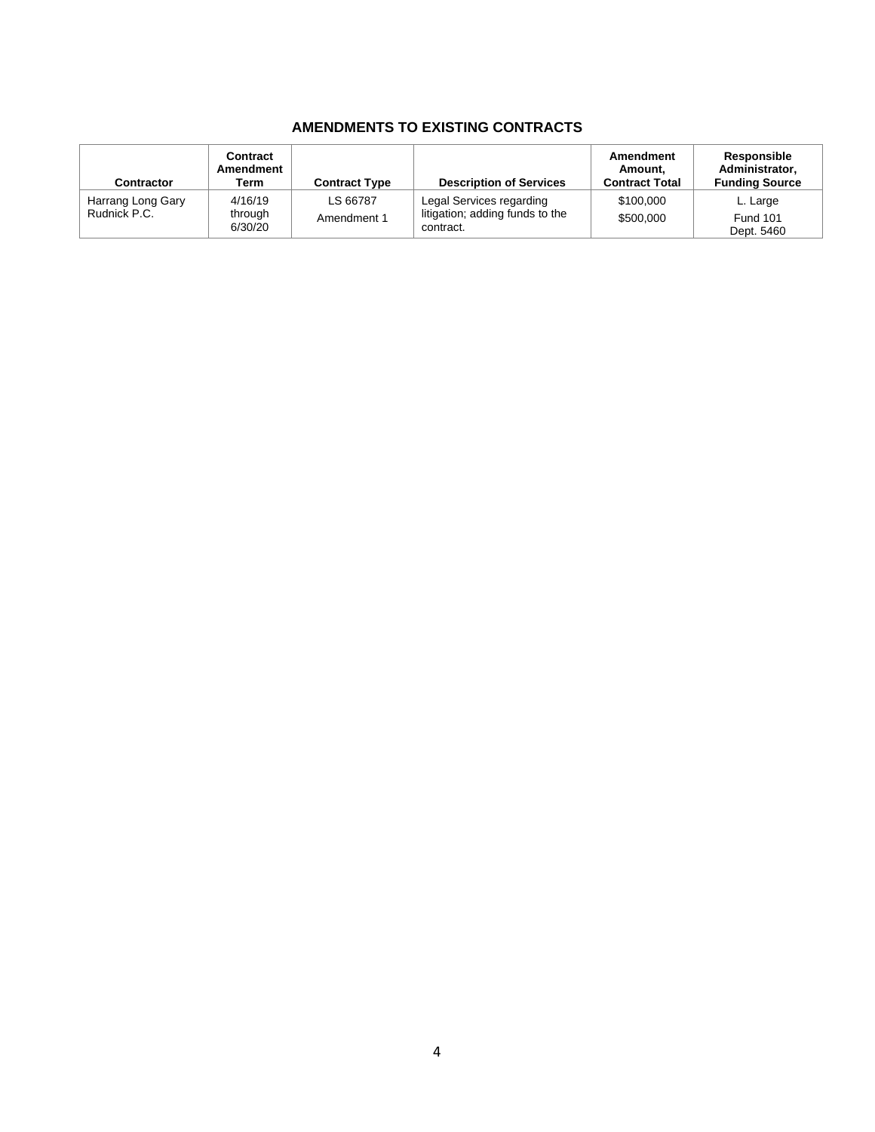# **AMENDMENTS TO EXISTING CONTRACTS**

| Contractor                        | Contract<br>Amendment<br>Term | <b>Contract Type</b>    | <b>Description of Services</b>                                           | Amendment<br>Amount,<br><b>Contract Total</b> | Responsible<br>Administrator,<br><b>Funding Source</b> |
|-----------------------------------|-------------------------------|-------------------------|--------------------------------------------------------------------------|-----------------------------------------------|--------------------------------------------------------|
| Harrang Long Gary<br>Rudnick P.C. | 4/16/19<br>through<br>6/30/20 | LS 66787<br>Amendment 1 | Legal Services regarding<br>litigation; adding funds to the<br>contract. | \$100,000<br>\$500,000                        | L. Large<br><b>Fund 101</b><br>Dept. 5460              |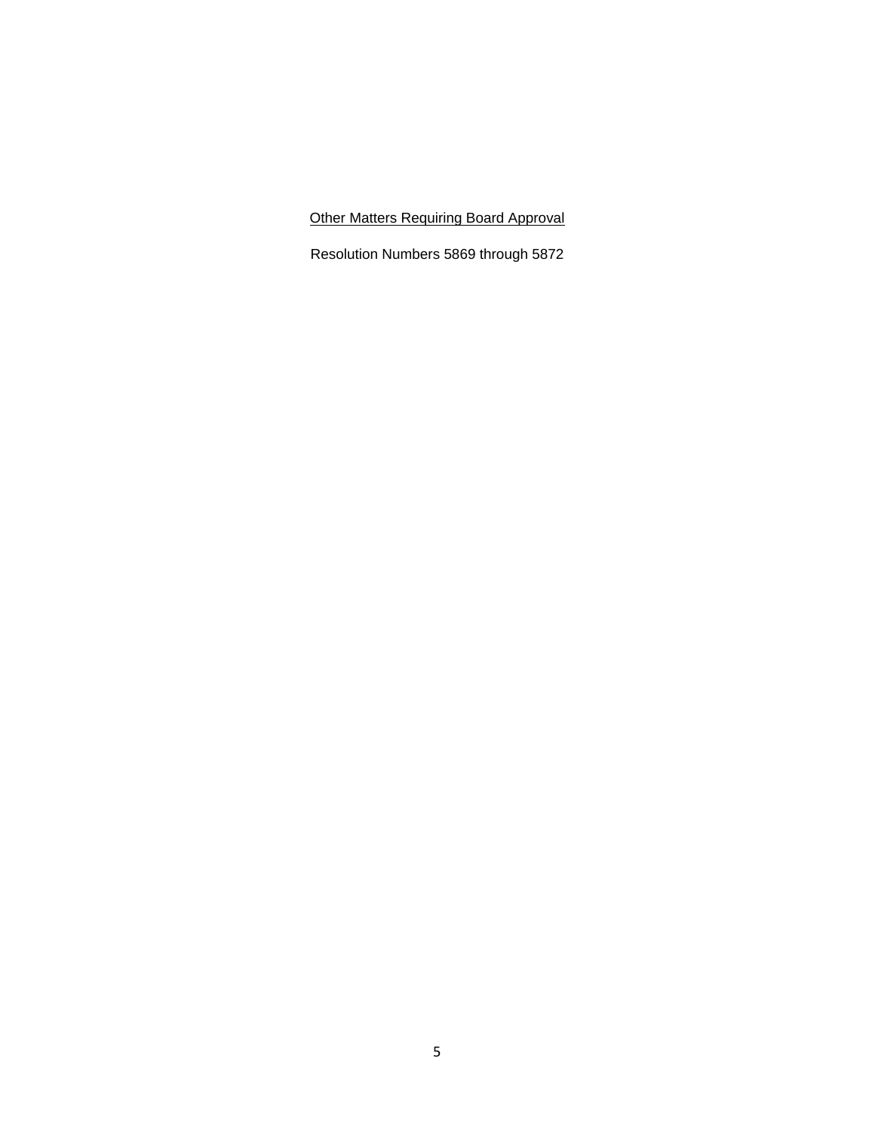Other Matters Requiring Board Approval

Resolution Numbers 5869 through 5872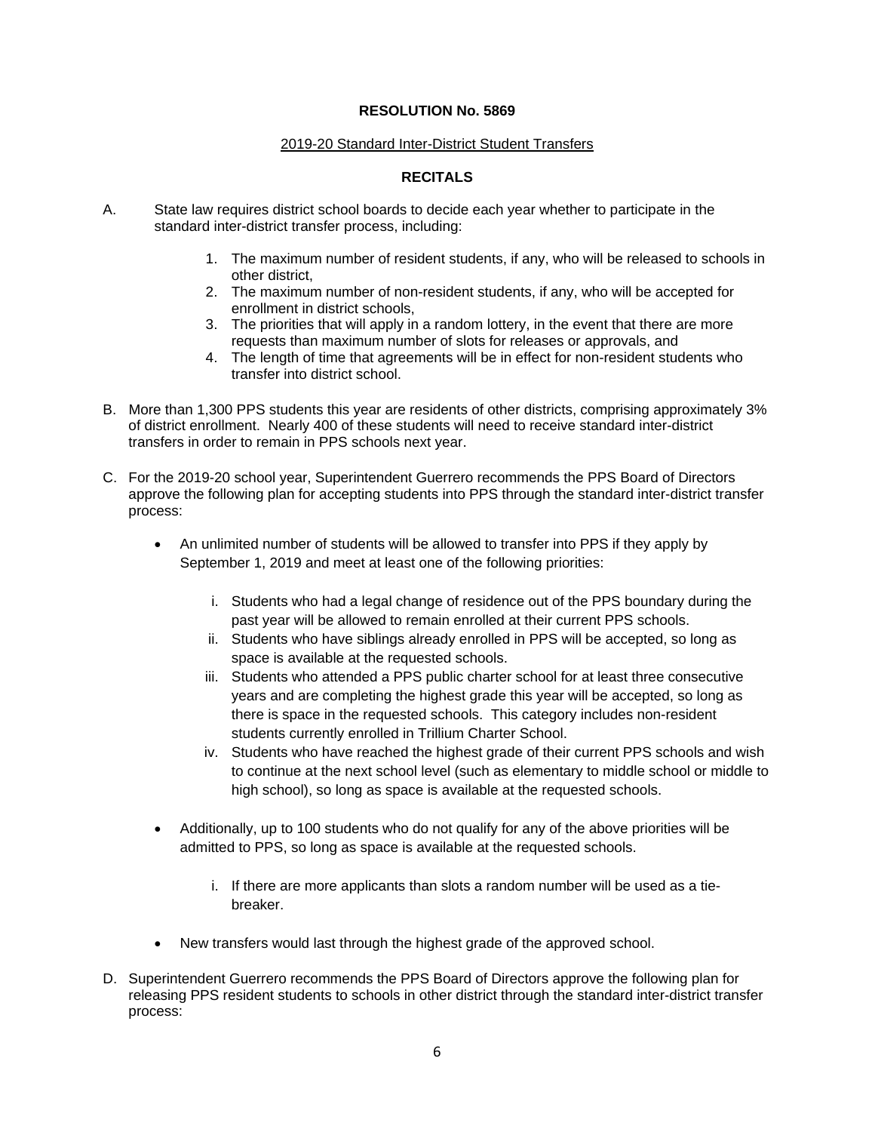### 2019-20 Standard Inter-District Student Transfers

## **RECITALS**

- A. State law requires district school boards to decide each year whether to participate in the standard inter-district transfer process, including:
	- 1. The maximum number of resident students, if any, who will be released to schools in other district,
	- 2. The maximum number of non-resident students, if any, who will be accepted for enrollment in district schools,
	- 3. The priorities that will apply in a random lottery, in the event that there are more requests than maximum number of slots for releases or approvals, and
	- 4. The length of time that agreements will be in effect for non-resident students who transfer into district school.
- B. More than 1,300 PPS students this year are residents of other districts, comprising approximately 3% of district enrollment. Nearly 400 of these students will need to receive standard inter-district transfers in order to remain in PPS schools next year.
- C. For the 2019-20 school year, Superintendent Guerrero recommends the PPS Board of Directors approve the following plan for accepting students into PPS through the standard inter-district transfer process:
	- An unlimited number of students will be allowed to transfer into PPS if they apply by September 1, 2019 and meet at least one of the following priorities:
		- i. Students who had a legal change of residence out of the PPS boundary during the past year will be allowed to remain enrolled at their current PPS schools.
		- ii. Students who have siblings already enrolled in PPS will be accepted, so long as space is available at the requested schools.
		- iii. Students who attended a PPS public charter school for at least three consecutive years and are completing the highest grade this year will be accepted, so long as there is space in the requested schools. This category includes non-resident students currently enrolled in Trillium Charter School.
		- iv. Students who have reached the highest grade of their current PPS schools and wish to continue at the next school level (such as elementary to middle school or middle to high school), so long as space is available at the requested schools.
	- Additionally, up to 100 students who do not qualify for any of the above priorities will be admitted to PPS, so long as space is available at the requested schools.
		- i. If there are more applicants than slots a random number will be used as a tiebreaker.
	- New transfers would last through the highest grade of the approved school.
- D. Superintendent Guerrero recommends the PPS Board of Directors approve the following plan for releasing PPS resident students to schools in other district through the standard inter-district transfer process: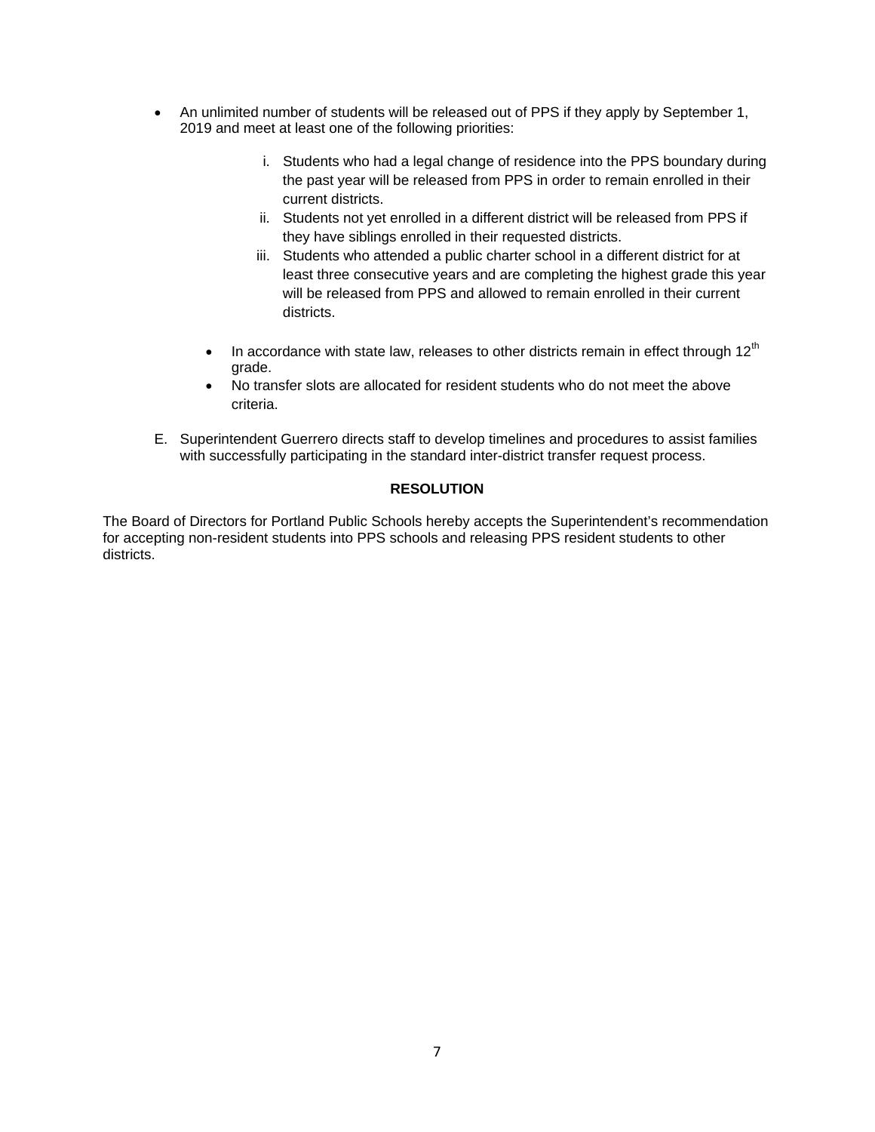- An unlimited number of students will be released out of PPS if they apply by September 1, 2019 and meet at least one of the following priorities:
	- i. Students who had a legal change of residence into the PPS boundary during the past year will be released from PPS in order to remain enrolled in their current districts.
	- ii. Students not yet enrolled in a different district will be released from PPS if they have siblings enrolled in their requested districts.
	- iii. Students who attended a public charter school in a different district for at least three consecutive years and are completing the highest grade this year will be released from PPS and allowed to remain enrolled in their current districts.
	- In accordance with state law, releases to other districts remain in effect through  $12<sup>th</sup>$ grade.
	- No transfer slots are allocated for resident students who do not meet the above criteria.
- E. Superintendent Guerrero directs staff to develop timelines and procedures to assist families with successfully participating in the standard inter-district transfer request process.

## **RESOLUTION**

The Board of Directors for Portland Public Schools hereby accepts the Superintendent's recommendation for accepting non-resident students into PPS schools and releasing PPS resident students to other districts.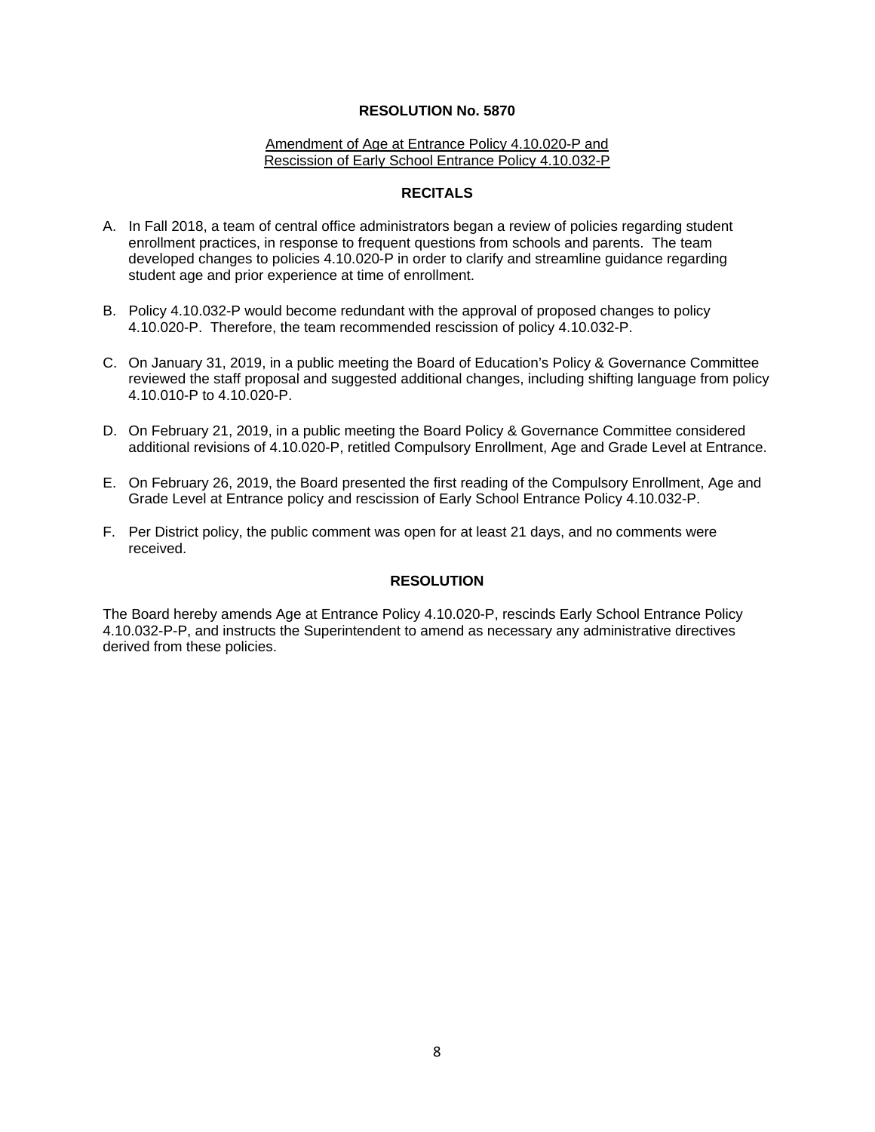#### Amendment of Age at Entrance Policy 4.10.020-P and Rescission of Early School Entrance Policy 4.10.032-P

#### **RECITALS**

- A. In Fall 2018, a team of central office administrators began a review of policies regarding student enrollment practices, in response to frequent questions from schools and parents. The team developed changes to policies 4.10.020-P in order to clarify and streamline guidance regarding student age and prior experience at time of enrollment.
- B. Policy 4.10.032-P would become redundant with the approval of proposed changes to policy 4.10.020-P. Therefore, the team recommended rescission of policy 4.10.032-P.
- C. On January 31, 2019, in a public meeting the Board of Education's Policy & Governance Committee reviewed the staff proposal and suggested additional changes, including shifting language from policy 4.10.010-P to 4.10.020-P.
- D. On February 21, 2019, in a public meeting the Board Policy & Governance Committee considered additional revisions of 4.10.020-P, retitled Compulsory Enrollment, Age and Grade Level at Entrance.
- E. On February 26, 2019, the Board presented the first reading of the Compulsory Enrollment, Age and Grade Level at Entrance policy and rescission of Early School Entrance Policy 4.10.032-P.
- F. Per District policy, the public comment was open for at least 21 days, and no comments were received.

### **RESOLUTION**

The Board hereby amends Age at Entrance Policy 4.10.020-P, rescinds Early School Entrance Policy 4.10.032-P-P, and instructs the Superintendent to amend as necessary any administrative directives derived from these policies.